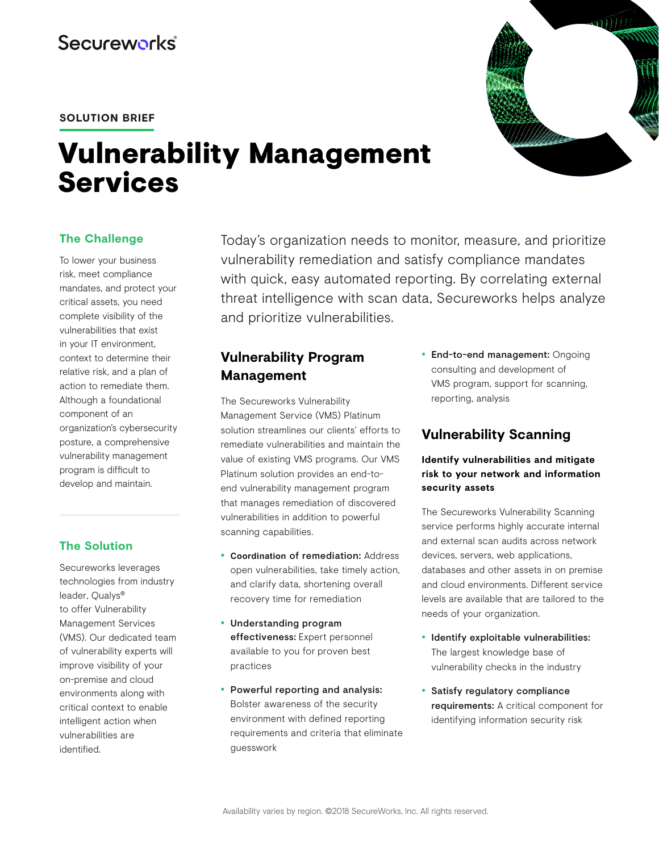## **SOLUTION BRIEF**

# Vulnerability Management **Services**

# **The Challenge**

To lower your business risk, meet compliance mandates, and protect your critical assets, you need complete visibility of the vulnerabilities that exist in your IT environment, context to determine their relative risk, and a plan of action to remediate them. Although a foundational component of an organization's cybersecurity posture, a comprehensive vulnerability management program is difficult to develop and maintain.

## **The Solution**

Secureworks leverages technologies from industry leader, Qualys® to offer Vulnerability Management Services (VMS). Our dedicated team of vulnerability experts will improve visibility of your on-premise and cloud environments along with critical context to enable intelligent action when vulnerabilities are identified.

Today's organization needs to monitor, measure, and prioritize vulnerability remediation and satisfy compliance mandates with quick, easy automated reporting. By correlating external threat intelligence with scan data, Secureworks helps analyze and prioritize vulnerabilities.

# **Vulnerability Program Management**

The Secureworks Vulnerability Management Service (VMS) Platinum solution streamlines our clients' efforts to remediate vulnerabilities and maintain the value of existing VMS programs. Our VMS Platinum solution provides an end-toend vulnerability management program that manages remediation of discovered vulnerabilities in addition to powerful scanning capabilities.

- **Coordination** of remediation: Address open vulnerabilities, take timely action, and clarify data, shortening overall recovery time for remediation
- Understanding program effectiveness: Expert personnel available to you for proven best practices
- Powerful reporting and analysis: Bolster awareness of the security environment with defined reporting requirements and criteria that eliminate guesswork

• End-to-end management: Ongoing consulting and development of VMS program, support for scanning, reporting, analysis

# **Vulnerability Scanning**

## **Identify vulnerabilities and mitigate risk to your network and information security assets**

The Secureworks Vulnerability Scanning service performs highly accurate internal and external scan audits across network devices, servers, web applications, databases and other assets in on premise and cloud environments. Different service levels are available that are tailored to the needs of your organization.

- Identify exploitable vulnerabilities: The largest knowledge base of vulnerability checks in the industry
- Satisfy regulatory compliance requirements: A critical component for identifying information security risk

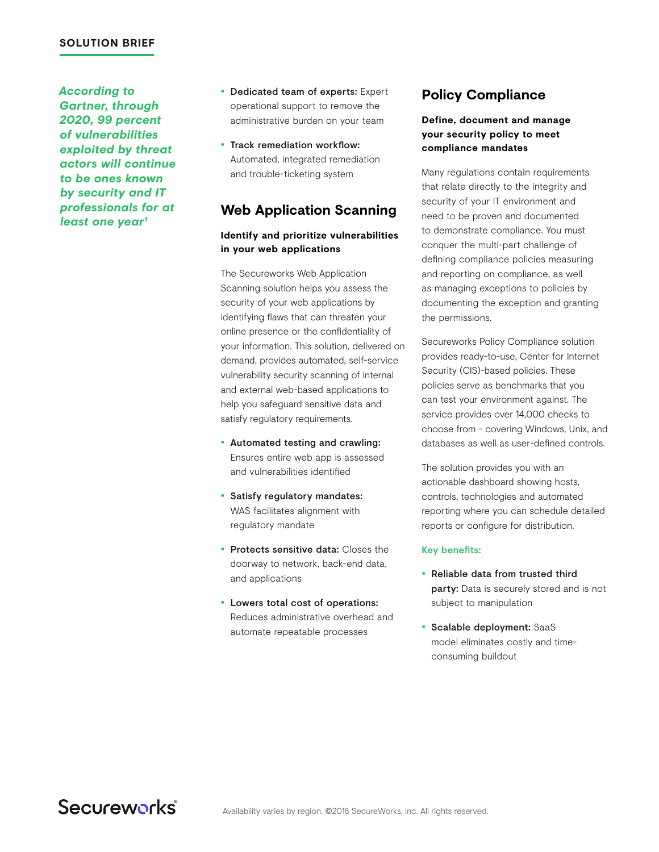#### **SOLUTION BRIEF**

*According to Gartner, through 2020, 99 percent of vulnerabilities exploited by threat actors will continue to be ones known by security and IT professionals for at*  least one year<sup>1</sup>

- Dedicated team of experts: Expert operational support to remove the administrative burden on your team
- Track remediation workflow: Automated, integrated remediation and trouble-ticketing system

# **Web Application Scanning**

### **Identify and prioritize vulnerabilities in your web applications**

The Secureworks Web Application Scanning solution helps you assess the security of your web applications by identifying flaws that can threaten your online presence or the confidentiality of your information. This solution, delivered on demand, provides automated, self-service vulnerability security scanning of internal and external web-based applications to help you safeguard sensitive data and satisfy regulatory requirements.

- Automated testing and crawling: Ensures entire web app is assessed and vulnerabilities identified
- Satisfy regulatory mandates: WAS facilitates alignment with regulatory mandate
- Protects sensitive data: Closes the doorway to network, back-end data, and applications
- Lowers total cost of operations: Reduces administrative overhead and automate repeatable processes

# **Policy Compliance**

## **Define, document and manage your security policy to meet compliance mandates**

Many regulations contain requirements that relate directly to the integrity and security of your IT environment and need to be proven and documented to demonstrate compliance. You must conquer the multi-part challenge of defining compliance policies measuring and reporting on compliance, as well as managing exceptions to policies by documenting the exception and granting the permissions.

Secureworks Policy Compliance solution provides ready-to-use, Center for Internet Security (CIS)-based policies. These policies serve as benchmarks that you can test your environment against. The service provides over 14,000 checks to choose from - covering Windows, Unix, and databases as well as user-defined controls.

The solution provides you with an actionable dashboard showing hosts, controls, technologies and automated reporting where you can schedule detailed reports or configure for distribution.

#### Key benefits:

- Reliable data from trusted third party: Data is securely stored and is not subject to manipulation
- Scalable deployment: SaaS model eliminates costly and timeconsuming buildout

Secureworks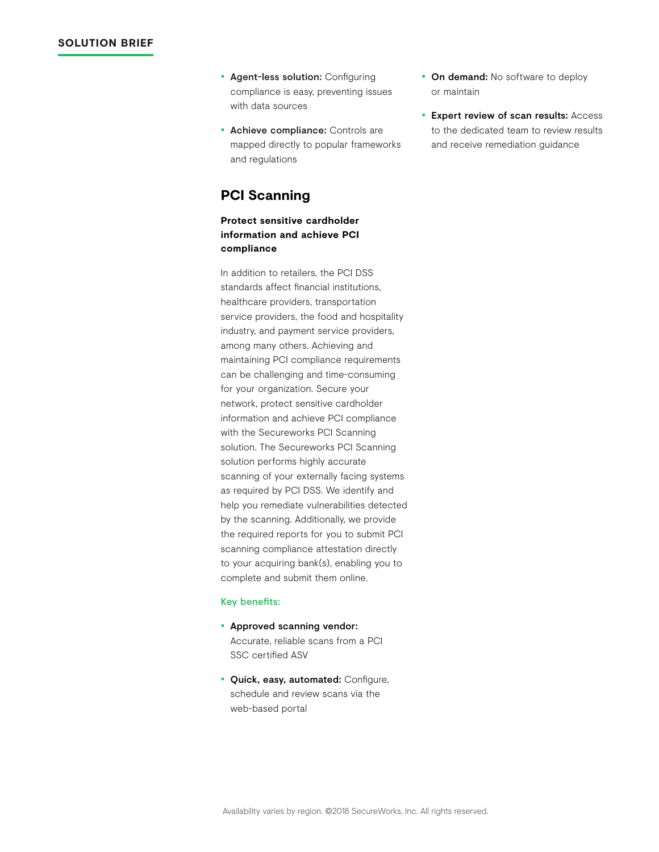- Agent-less solution: Configuring compliance is easy, preventing issues with data sources
- Achieve compliance: Controls are mapped directly to popular frameworks and regulations

# **PCI Scanning**

### **Protect sensitive cardholder information and achieve PCI compliance**

In addition to retailers, the PCI DSS standards affect financial institutions, healthcare providers, transportation service providers, the food and hospitality industry, and payment service providers, among many others. Achieving and maintaining PCI compliance requirements can be challenging and time-consuming for your organization. Secure your network, protect sensitive cardholder information and achieve PCI compliance with the Secureworks PCI Scanning solution. The Secureworks PCI Scanning solution performs highly accurate scanning of your externally facing systems as required by PCI DSS. We identify and help you remediate vulnerabilities detected by the scanning. Additionally, we provide the required reports for you to submit PCI scanning compliance attestation directly to your acquiring bank(s), enabling you to complete and submit them online.

#### Key benefits:

- Approved scanning vendor: Accurate, reliable scans from a PCI SSC certified ASV
- Quick, easy, automated: Configure, schedule and review scans via the web-based portal
- On demand: No software to deploy or maintain
- Expert review of scan results: Access to the dedicated team to review results and receive remediation guidance